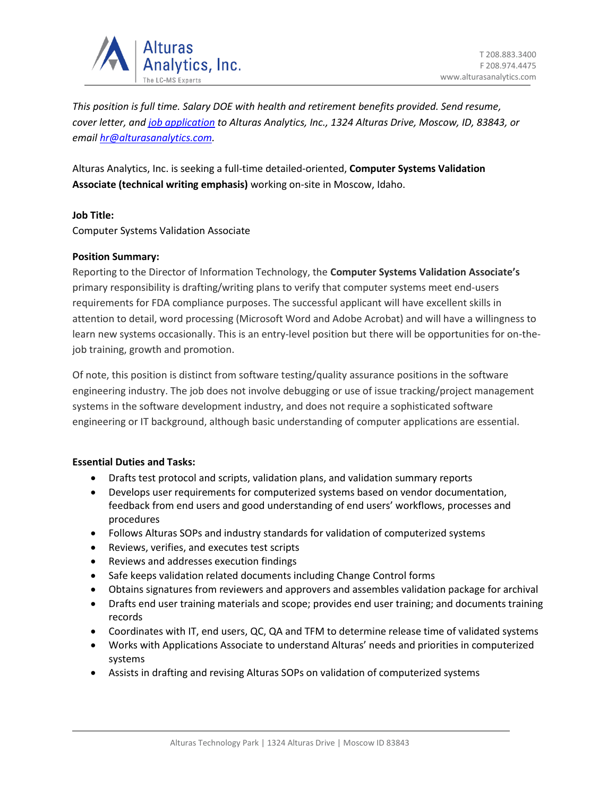

*This position is full time. Salary DOE with health and retirement benefits provided. Send resume, cover letter, an[d job application](https://alturasanalytics.com/media/41140/alturas-job-application-form.pdf) to Alturas Analytics, Inc., 1324 Alturas Drive, Moscow, ID, 83843, or email [hr@alturasanalytics.com.](mailto:hr@alturasanalytics.com)*

Alturas Analytics, Inc. is seeking a full-time detailed-oriented, **Computer Systems Validation Associate (technical writing emphasis)** working on-site in Moscow, Idaho.

# **Job Title:**

Computer Systems Validation Associate

## **Position Summary:**

Reporting to the Director of Information Technology, the **Computer Systems Validation Associate's** primary responsibility is drafting/writing plans to verify that computer systems meet end-users requirements for FDA compliance purposes. The successful applicant will have excellent skills in attention to detail, word processing (Microsoft Word and Adobe Acrobat) and will have a willingness to learn new systems occasionally. This is an entry-level position but there will be opportunities for on-thejob training, growth and promotion.

Of note, this position is distinct from software testing/quality assurance positions in the software engineering industry. The job does not involve debugging or use of issue tracking/project management systems in the software development industry, and does not require a sophisticated software engineering or IT background, although basic understanding of computer applications are essential.

## **Essential Duties and Tasks:**

- Drafts test protocol and scripts, validation plans, and validation summary reports
- Develops user requirements for computerized systems based on vendor documentation, feedback from end users and good understanding of end users' workflows, processes and procedures
- Follows Alturas SOPs and industry standards for validation of computerized systems
- Reviews, verifies, and executes test scripts
- Reviews and addresses execution findings
- Safe keeps validation related documents including Change Control forms
- Obtains signatures from reviewers and approvers and assembles validation package for archival
- Drafts end user training materials and scope; provides end user training; and documents training records
- Coordinates with IT, end users, QC, QA and TFM to determine release time of validated systems
- Works with Applications Associate to understand Alturas' needs and priorities in computerized systems
- Assists in drafting and revising Alturas SOPs on validation of computerized systems